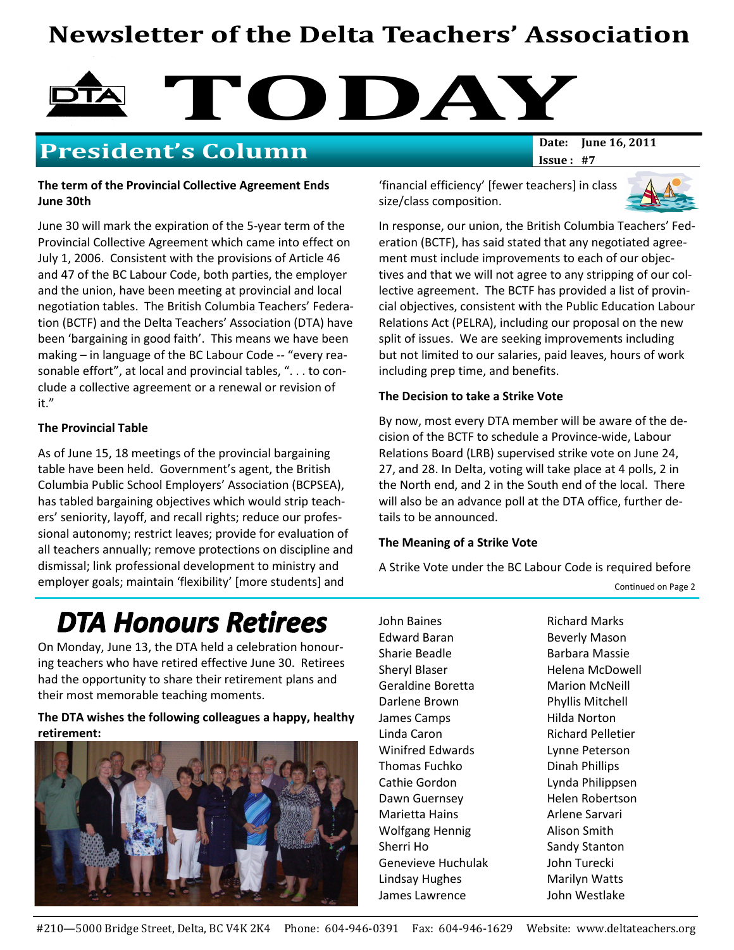## Newsletter of the Delta Teachers' Association



## **President's Column**

Issue : #7

#### The term of the Provincial Collective Agreement Ends June 30th

June 30 will mark the expiration of the 5-year term of the Provincial Collective Agreement which came into effect on July 1, 2006. Consistent with the provisions of Article 46 and 47 of the BC Labour Code, both parties, the employer and the union, have been meeting at provincial and local negotiation tables. The British Columbia Teachers' Federation (BCTF) and the Delta Teachers' Association (DTA) have been 'bargaining in good faith'. This means we have been making – in language of the BC Labour Code -- "every reasonable effort", at local and provincial tables, ". . . to conclude a collective agreement or a renewal or revision of it."

#### The Provincial Table

As of June 15, 18 meetings of the provincial bargaining table have been held. Government's agent, the British Columbia Public School Employers' Association (BCPSEA), has tabled bargaining objectives which would strip teachers' seniority, layoff, and recall rights; reduce our professional autonomy; restrict leaves; provide for evaluation of all teachers annually; remove protections on discipline and dismissal; link professional development to ministry and employer goals; maintain 'flexibility' [more students] and

# **DTA Honours Retirees**

On Monday, June 13, the DTA held a celebration honouring teachers who have retired effective June 30. Retirees had the opportunity to share their retirement plans and their most memorable teaching moments.

The DTA wishes the following colleagues a happy, healthy retirement:



'financial efficiency' [fewer teachers] in class size/class composition.



In response, our union, the British Columbia Teachers' Federation (BCTF), has said stated that any negotiated agreement must include improvements to each of our objectives and that we will not agree to any stripping of our collective agreement. The BCTF has provided a list of provincial objectives, consistent with the Public Education Labour Relations Act (PELRA), including our proposal on the new split of issues. We are seeking improvements including but not limited to our salaries, paid leaves, hours of work including prep time, and benefits.

#### The Decision to take a Strike Vote

By now, most every DTA member will be aware of the decision of the BCTF to schedule a Province-wide, Labour Relations Board (LRB) supervised strike vote on June 24, 27, and 28. In Delta, voting will take place at 4 polls, 2 in the North end, and 2 in the South end of the local. There will also be an advance poll at the DTA office, further details to be announced.

#### The Meaning of a Strike Vote

A Strike Vote under the BC Labour Code is required before

Continued on Page 2

John Baines Edward Baran Sharie Beadle Sheryl Blaser Geraldine Boretta Darlene Brown James Camps Linda Caron Winifred Edwards Thomas Fuchko Cathie Gordon Dawn Guernsey Marietta Hains Wolfgang Hennig Sherri Ho Genevieve Huchulak Lindsay Hughes James Lawrence

Richard Marks Beverly Mason Barbara Massie Helena McDowell Marion McNeill Phyllis Mitchell Hilda Norton Richard Pelletier Lynne Peterson Dinah Phillips Lynda Philippsen Helen Robertson Arlene Sarvari Alison Smith Sandy Stanton John Turecki Marilyn Watts John Westlake